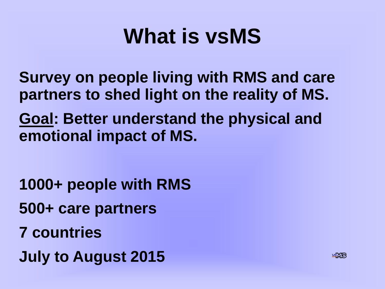# **What is vsMS**

- **Survey on people living with RMS and care partners to shed light on the reality of MS.**
- **Goal: Better understand the physical and emotional impact of MS.**

**1000+ people with RMS 500+ care partners 7 countries July to August 2015**

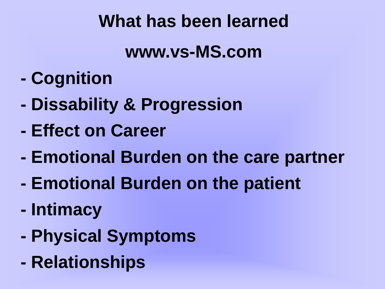## **What has been learned**

#### **www.vs-MS.com**

- **- Cognition**
- **- Dissability & Progression**
- **- Effect on Career**
- **- Emotional Burden on the care partner**
- **- Emotional Burden on the patient**
- **- Intimacy**
- **- Physical Symptoms**
- **- Relationships**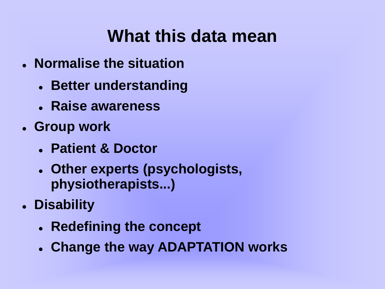#### **What this data mean**

- **Normalise the situation**
	- **Better understanding**
	- **Raise awareness**
- **Group work**
	- **Patient & Doctor**
	- **Other experts (psychologists, physiotherapists...)**
- **Disability**
	- **Redefining the concept**
	- **Change the way ADAPTATION works**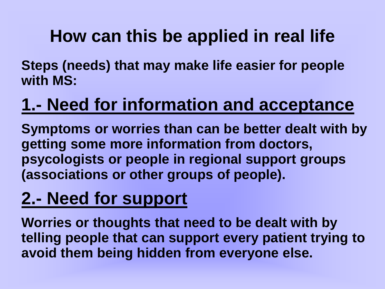# **How can this be applied in real life**

**Steps (needs) that may make life easier for people with MS:**

# **1.- Need for information and acceptance**

**Symptoms or worries than can be better dealt with by getting some more information from doctors, psycologists or people in regional support groups (associations or other groups of people).**

## **2.- Need for support**

**Worries or thoughts that need to be dealt with by telling people that can support every patient trying to avoid them being hidden from everyone else.**